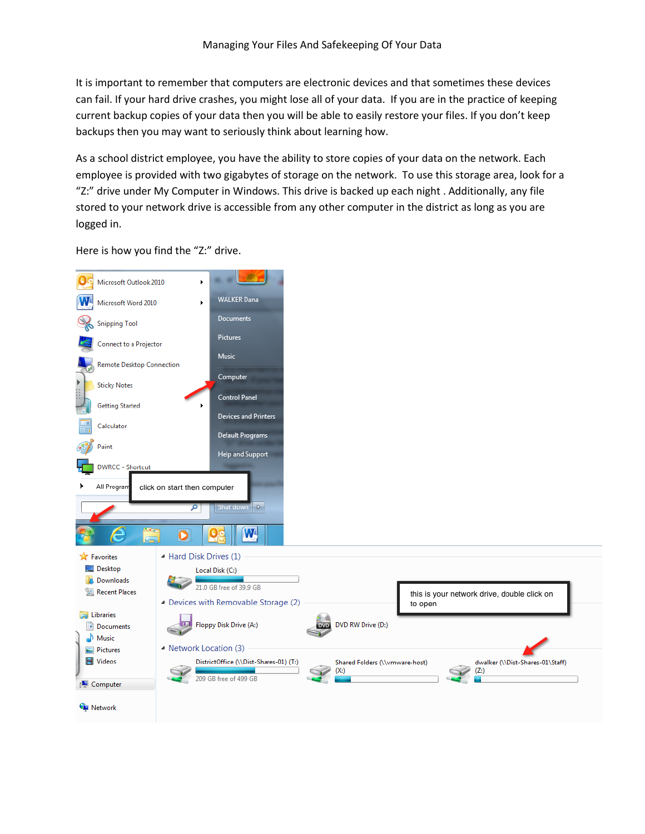It is important to remember that computers are electronic devices and that sometimes these devices can fail. If your hard drive crashes, you might lose all of your data. If you are in the practice of keeping current backup copies of your data then you will be able to easily restore your files. If you don't keep backups then you may want to seriously think about learning how.

As a school district employee, you have the ability to store copies of your data on the network. Each employee is provided with two gigabytes of storage on the network. To use this storage area, look for a "Z:" drive under My Computer in Windows. This drive is backed up each night . Additionally, any file stored to your network drive is accessible from any other computer in the district as long as you are logged in.

IC) Microsoft Outlook 2010 **WALKER Dana** W Microsoft Word 2010 Documents **Snipping Tool** Pictures Connect to a Projector Music Remote Desktop Connection Computer **Sticky Notes** Control Panel **Getting Started** Devices and Printers Calculator Default Programs Paint Help and Support **DWRCC - Shortcut** All Prograr click on start then computer ь  $\sqrt{n}$   $\boxed{\triangleright}$ œ Shut d  $\mathbf{W}$ O **X** Favorites ▲ Hard Disk Drives (1) Desktop Local Disk (C:) **In** Downloads 21.0 GB free of 39.9 GB **Recent Places** this is your network drive, double click on Devices with Removable Storage (2) to open Libraries Floppy Disk Drive (A:) DVD RW Drive (D:) Documents  $\bigwedge$  Music ▲ Network Location (3)  $\blacksquare$  Pictures Videos DistrictOffice (\\Dist-Shares-01) (T:) dwalker (\\Dist-Shares-01\Staff) Shared Folders (\\vmware-host)  $(X:)$  $(Z: )$ 209 GB free of 499 GB Computer **Gu** Network

Here is how you find the "Z:" drive.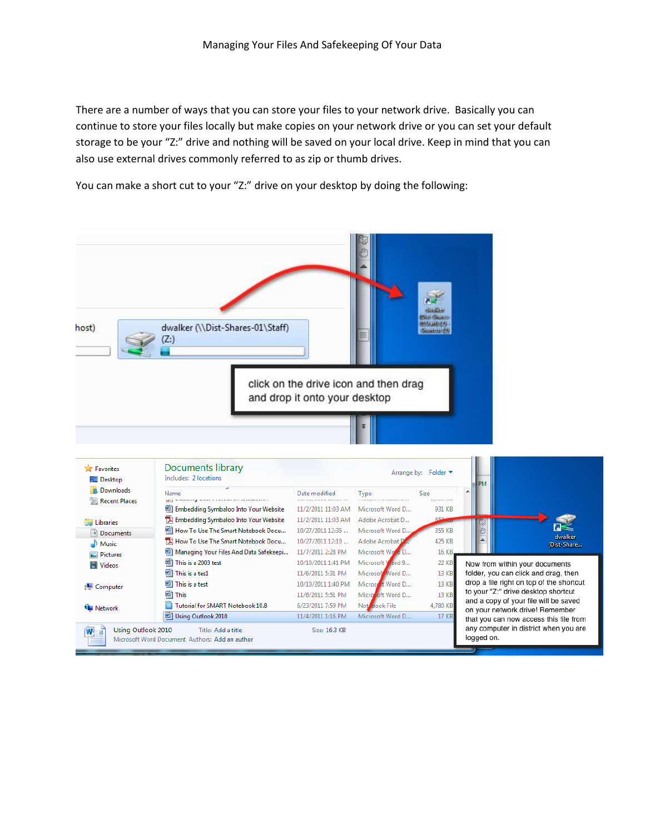There are a number of ways that you can store your files to your network drive. Basically you can continue to store your files locally but make copies on your network drive or you can set your default storage to be your "Z:" drive and nothing will be saved on your local drive. Keep in mind that you can also use external drives commonly referred to as zip or thumb drives.

You can make a short cut to your "Z:" drive on your desktop by doing the following:



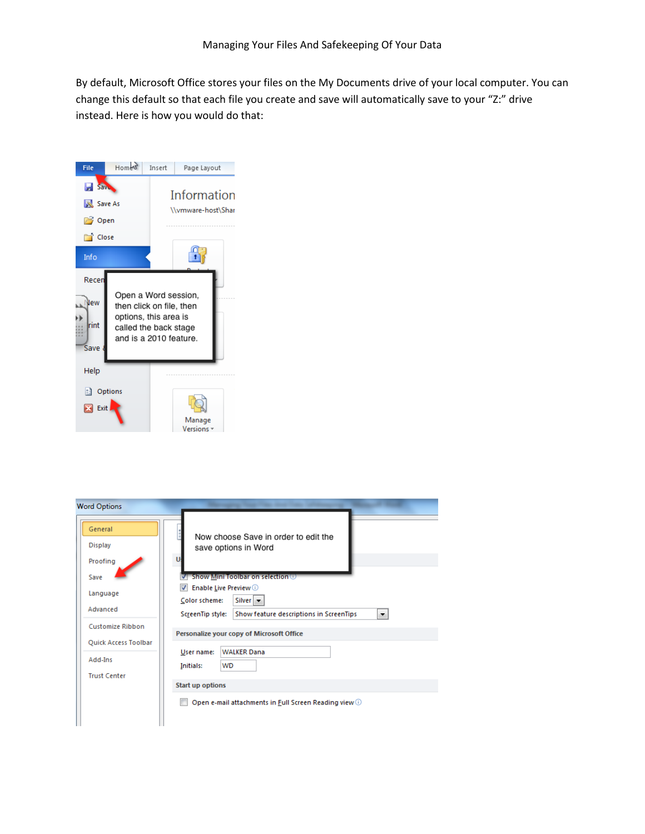By default, Microsoft Office stores your files on the My Documents drive of your local computer. You can change this default so that each file you create and save will automatically save to your "Z:" drive instead. Here is how you would do that:



| <b>Word Options</b>                                       |                                                                                                                                                                                                                     |  |
|-----------------------------------------------------------|---------------------------------------------------------------------------------------------------------------------------------------------------------------------------------------------------------------------|--|
| General<br><b>Display</b><br>Proofing<br>Save<br>Language | Now choose Save in order to edit the<br>save options in Word<br>п<br>√ Show Mini Toolbar on selection ©<br><b>Enable Live Preview</b> $\odot$<br>$\overline{v}$<br>Silver $\vert \mathbf{v} \vert$<br>Color scheme: |  |
| Advanced                                                  | Show feature descriptions in ScreenTips<br>ScreenTip style:<br>▼.                                                                                                                                                   |  |
| Customize Ribbon<br>Quick Access Toolbar                  | Personalize your copy of Microsoft Office                                                                                                                                                                           |  |
| Add-Ins<br><b>Trust Center</b>                            | <b>WALKER Dana</b><br>User name:<br><b>WD</b><br><b>Initials:</b>                                                                                                                                                   |  |
|                                                           | <b>Start up options</b>                                                                                                                                                                                             |  |
|                                                           | Open e-mail attachments in Full Screen Reading view 1                                                                                                                                                               |  |